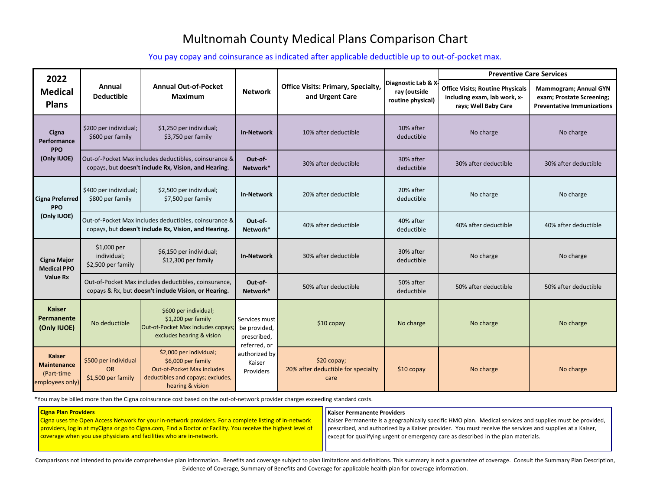## Multnomah County Medical Plans Comparison Chart

[You pay copay and coinsurance as indicated after applicable deductible up to out-of-pocket max.](https://multco.us/benefits/health-plan-rates-and-comparisons)

Comparisons not intended to provide comprehensive plan information. Benefits and coverage subject to plan limitations and definitions. This summary is not a guarantee of coverage. Consult the Summary Plan Description, Evidence of Coverage, Summary of Benefits and Coverage for applicable health plan for coverage information.

services and supplies must be provided, the services and supplies at a Kaiser, plan materials.

| 2022                                                                 |                                                         |                                                                                                                                             |                                                      |                                                                                                                                                                                                                             |                                                 | <b>Preventive Care Services</b>                                                                |                      |  |
|----------------------------------------------------------------------|---------------------------------------------------------|---------------------------------------------------------------------------------------------------------------------------------------------|------------------------------------------------------|-----------------------------------------------------------------------------------------------------------------------------------------------------------------------------------------------------------------------------|-------------------------------------------------|------------------------------------------------------------------------------------------------|----------------------|--|
| <b>Medical</b><br><b>Plans</b>                                       | Annual<br><b>Deductible</b>                             | <b>Annual Out-of-Pocket</b><br><b>Maximum</b>                                                                                               | <b>Network</b>                                       | Diagnostic Lab & X.<br><b>Office Visits: Primary, Specialty,</b><br><b>Office Visits; Routine Physicals</b><br>ray (outside<br>and Urgent Care<br>including exam, lab work, x-<br>routine physical)<br>rays; Well Baby Care |                                                 | <b>Mammogram; Annual GYN</b><br>exam; Prostate Screening;<br><b>Preventative Immunizations</b> |                      |  |
| Cigna<br>Performance<br><b>PPO</b>                                   | \$200 per individual;<br>\$600 per family               | \$1,250 per individual;<br>\$3,750 per family                                                                                               | <b>In-Network</b>                                    | 10% after deductible                                                                                                                                                                                                        | 10% after<br>deductible                         | No charge                                                                                      | No charge            |  |
| (Only IUOE)                                                          |                                                         | Out-of-Pocket Max includes deductibles, coinsurance &<br>copays, but doesn't include Rx, Vision, and Hearing.                               | Out-of-<br>Network*                                  | 30% after deductible                                                                                                                                                                                                        | 30% after<br>30% after deductible<br>deductible |                                                                                                | 30% after deductible |  |
| <b>Cigna Preferred</b><br><b>PPO</b><br>(Only IUOE)                  | \$400 per individual;<br>\$800 per family               | \$2,500 per individual;<br>\$7,500 per family                                                                                               | <b>In-Network</b>                                    | 20% after deductible                                                                                                                                                                                                        | 20% after<br>No charge<br>deductible            |                                                                                                | No charge            |  |
|                                                                      |                                                         | Out-of-Pocket Max includes deductibles, coinsurance &<br>copays, but doesn't include Rx, Vision, and Hearing.                               | Out-of-<br>Network*                                  | 40% after deductible                                                                                                                                                                                                        | 40% after<br>deductible                         | 40% after deductible                                                                           | 40% after deductible |  |
| <b>Cigna Major</b><br><b>Medical PPO</b>                             | $$1,000$ per<br>individual;<br>\$2,500 per family       | \$6,150 per individual;<br>\$12,300 per family                                                                                              |                                                      | 30% after deductible                                                                                                                                                                                                        | 30% after<br>deductible                         | No charge                                                                                      | No charge            |  |
| <b>Value Rx</b>                                                      |                                                         | Out-of-Pocket Max includes deductibles, coinsurance,<br>copays & Rx, but doesn't include Vision, or Hearing.                                | Out-of-<br>Network*                                  | 50% after deductible                                                                                                                                                                                                        | 50% after<br>deductible                         | 50% after deductible                                                                           | 50% after deductible |  |
| <b>Kaiser</b><br>Permanente<br>(Only IUOE)                           | No deductible                                           | \$600 per individual;<br>\$1,200 per family<br>Services must<br>Out-of-Pocket Max includes copays;<br>excludes hearing & vision             |                                                      | $$10$ copay                                                                                                                                                                                                                 | No charge                                       | No charge                                                                                      | No charge            |  |
| <b>Kaiser</b><br><b>Maintenance</b><br>(Part-time<br>employees only) | \$500 per individual<br><b>OR</b><br>\$1,500 per family | \$2,000 per individual;<br>\$6,000 per family<br><b>Out-of-Pocket Max includes</b><br>deductibles and copays; excludes,<br>hearing & vision | referred, or<br>authorized by<br>Kaiser<br>Providers | \$20 copay;<br>20% after deductible for specialty<br>care                                                                                                                                                                   | $$10$ copay                                     | No charge                                                                                      | No charge            |  |

\*You may be billed more than the Cigna coinsurance cost based on the out-of-network provider charges exceeding standard costs.

| <b>Cigna Plan Providers</b>                                                                                                                                                                                                                                                                   | Kaiser Permanente Providers                                                                                                                                                                                         |
|-----------------------------------------------------------------------------------------------------------------------------------------------------------------------------------------------------------------------------------------------------------------------------------------------|---------------------------------------------------------------------------------------------------------------------------------------------------------------------------------------------------------------------|
| Cigna uses the Open Access Network for your in-network providers. For a complete listing of in-network<br>providers, log in at myCigna or go to Cigna.com, Find a Doctor or Facility. You receive the highest level of<br>coverage when you use physicians and facilities who are in-network. | Kaiser Permanente is a geographically specific HMO plan. Medical s<br>prescribed, and authorized by a Kaiser provider. You must receive t<br>  except for qualifying urgent or emergency care as described in the p |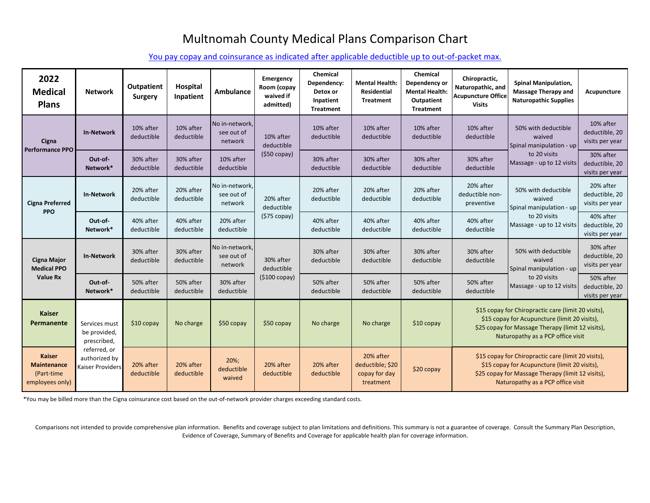## Multnomah County Medical Plans Comparison Chart

[You pay copay and coinsurance as indicated after applicable deductible up to out-of-packet max.](https://multco.us/benefits/health-plan-rates-and-comparisons)

Comparisons not intended to provide comprehensive plan information. Benefits and coverage subject to plan limitations and definitions. This summary is not a guarantee of coverage. Consult the Summary Plan Description, Evidence of Coverage, Summary of Benefits and Coverage for applicable health plan for coverage information.

| 2022<br><b>Medical</b><br><b>Plans</b>                                | <b>Network</b>                                    | <b>Outpatient</b><br><b>Surgery</b> | <b>Hospital</b><br>Inpatient | <b>Ambulance</b>                        | Emergency<br>Room (copay<br>waived if<br>admitted) | Chemical<br>Dependency:<br>Detox or<br>Inpatient<br><b>Treatment</b> | <b>Mental Health:</b><br>Residential<br><b>Treatment</b>    | <b>Chemical</b><br>Dependency or<br><b>Mental Health:</b><br>Outpatient<br><b>Treatment</b> | Chiropractic,<br>Naturopathic, and<br><b>Acupuncture Office</b><br><b>Visits</b> | <b>Spinal Manipulation,</b><br><b>Massage Therapy and</b><br><b>Naturopathic Supplies</b>                                                                                                      | Acupuncture                                    |
|-----------------------------------------------------------------------|---------------------------------------------------|-------------------------------------|------------------------------|-----------------------------------------|----------------------------------------------------|----------------------------------------------------------------------|-------------------------------------------------------------|---------------------------------------------------------------------------------------------|----------------------------------------------------------------------------------|------------------------------------------------------------------------------------------------------------------------------------------------------------------------------------------------|------------------------------------------------|
| Cigna<br><b>Performance PPO</b>                                       | <b>In-Network</b>                                 | 10% after<br>deductible             | 10% after<br>deductible      | No in-network,<br>see out of<br>network | 10% after<br>deductible                            | 10% after<br>deductible                                              | 10% after<br>deductible                                     | 10% after<br>deductible                                                                     | 10% after<br>deductible                                                          | 50% with deductible<br>waived<br>Spinal manipulation - up                                                                                                                                      | 10% after<br>deductible, 20<br>visits per year |
|                                                                       | Out-of-<br>Network*                               | 30% after<br>deductible             | 30% after<br>deductible      | 10% after<br>deductible                 | $(550 \, \text{copy})$                             | 30% after<br>deductible                                              | 30% after<br>deductible                                     | 30% after<br>deductible                                                                     | 30% after<br>deductible                                                          | to 20 visits<br>Massage - up to 12 visits                                                                                                                                                      | 30% after<br>deductible, 20<br>visits per year |
| <b>Cigna Preferred</b><br><b>PPO</b>                                  | <b>In-Network</b>                                 | 20% after<br>deductible             | 20% after<br>deductible      | No in-network,<br>see out of<br>network | 20% after<br>deductible                            | 20% after<br>deductible                                              | 20% after<br>deductible                                     | 20% after<br>deductible                                                                     | 20% after<br>deductible non-<br>preventive                                       | 50% with deductible<br>waived<br>Spinal manipulation - up                                                                                                                                      | 20% after<br>deductible, 20<br>visits per year |
|                                                                       | Out-of-<br>Network*                               | 40% after<br>deductible             | 40% after<br>deductible      | 20% after<br>deductible                 | $(575$ copay)                                      | 40% after<br>deductible                                              | 40% after<br>deductible                                     | 40% after<br>deductible                                                                     | 40% after<br>deductible                                                          | to 20 visits<br>Massage - up to 12 visits                                                                                                                                                      | 40% after<br>deductible, 20<br>visits per year |
| <b>Cigna Major</b><br><b>Medical PPO</b><br><b>Value Rx</b>           | <b>In-Network</b>                                 | 30% after<br>deductible             | 30% after<br>deductible      | No in-network,<br>see out of<br>network | 30% after<br>deductible                            | 30% after<br>deductible                                              | 30% after<br>deductible                                     | 30% after<br>deductible                                                                     | 30% after<br>deductible                                                          | 50% with deductible<br>waived<br>Spinal manipulation - up                                                                                                                                      | 30% after<br>deductible, 20<br>visits per year |
|                                                                       | Out-of-<br>Network*                               | 50% after<br>deductible             | 50% after<br>deductible      | 30% after<br>deductible                 | $( $100$ copay)                                    | 50% after<br>deductible                                              | 50% after<br>deductible                                     | 50% after<br>deductible                                                                     | 50% after<br>deductible                                                          | to 20 visits<br>Massage - up to 12 visits                                                                                                                                                      | 50% after<br>deductible, 20<br>visits per year |
| <b>Kaiser</b><br>Permanente                                           | Services must<br>be provided,<br>prescribed,      | $$10$ copay                         | No charge                    | $$50$ copay                             | $$50$ copay                                        | No charge                                                            | No charge                                                   | $$10$ copay                                                                                 |                                                                                  | \$15 copay for Chiropractic care (limit 20 visits),<br>\$15 copay for Acupuncture (limit 20 visits),<br>\$25 copay for Massage Therapy (limit 12 visits),<br>Naturopathy as a PCP office visit |                                                |
| <b>Kaiser</b><br><b>Maintenance</b><br>(Part-time)<br>employees only) | referred, or<br>authorized by<br>Kaiser Providers | 20% after<br>deductible             | 20% after<br>deductible      | $20\%;$<br>deductible<br>waived         | 20% after<br>deductible                            | 20% after<br>deductible                                              | 20% after<br>deductible; \$20<br>copay for day<br>treatment | \$20 copay                                                                                  |                                                                                  | \$15 copay for Chiropractic care (limit 20 visits),<br>\$15 copay for Acupuncture (limit 20 visits),<br>\$25 copay for Massage Therapy (limit 12 visits),<br>Naturopathy as a PCP office visit |                                                |

\*You may be billed more than the Cigna coinsurance cost based on the out-of-network provider charges exceeding standard costs.